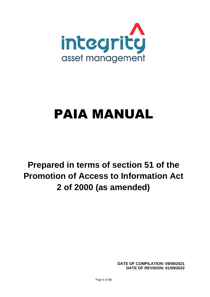

# PAIA MANUAL

# **Prepared in terms of section 51 of the Promotion of Access to Information Act 2 of 2000 (as amended)**

**DATE OF COMPILATION: 09/09/2021 DATE OF REVISION: 01/09/2022**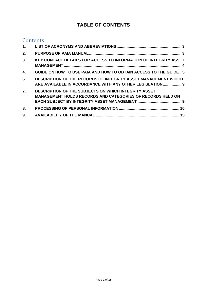# **TABLE OF CONTENTS**

# **Contents**

| $\mathbf{1}$ .   |                                                                                                                                   |
|------------------|-----------------------------------------------------------------------------------------------------------------------------------|
| 2.               |                                                                                                                                   |
| 3.               | <b>KEY CONTACT DETAILS FOR ACCESS TO INFORMATION OF INTEGRITY ASSET</b>                                                           |
| 4.               | <b>GUIDE ON HOW TO USE PAIA AND HOW TO OBTAIN ACCESS TO THE GUIDE 5</b>                                                           |
| 6.               | <b>DESCRIPTION OF THE RECORDS OF INTEGRITY ASSET MANAGEMENT WHICH</b><br>ARE AVAILABLE IN ACCORDANCE WITH ANY OTHER LEGISLATION 9 |
| $\overline{7}$ . | <b>DESCRIPTION OF THE SUBJECTS ON WHICH INTEGRITY ASSET</b><br><b>MANAGEMENT HOLDS RECORDS AND CATEGORIES OF RECORDS HELD ON</b>  |
| 8.               |                                                                                                                                   |
| 9.               |                                                                                                                                   |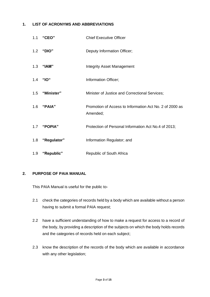#### <span id="page-2-0"></span>**1. LIST OF ACRONYMS AND ABBREVIATIONS**

|     | 1.1 "CEO"       | <b>Chief Executive Officer</b>                                      |
|-----|-----------------|---------------------------------------------------------------------|
|     | 1.2 "DIO"       | Deputy Information Officer;                                         |
|     | 1.3 "IAM"       | <b>Integrity Asset Management</b>                                   |
| 1.4 | <b>"IO"</b>     | Information Officer;                                                |
|     | 1.5 "Minister"  | Minister of Justice and Correctional Services;                      |
|     | 1.6 "PAIA"      | Promotion of Access to Information Act No. 2 of 2000 as<br>Amended; |
|     | 1.7 "POPIA"     | Protection of Personal Information Act No.4 of 2013;                |
|     | 1.8 "Regulator" | Information Regulator; and                                          |
|     | 1.9 "Republic"  | Republic of South Africa                                            |

### <span id="page-2-1"></span>**2. PURPOSE OF PAIA MANUAL**

This PAIA Manual is useful for the public to-

- 2.1 check the categories of records held by a body which are available without a person having to submit a formal PAIA request;
- 2.2 have a sufficient understanding of how to make a request for access to a record of the body, by providing a description of the subjects on which the body holds records and the categories of records held on each subject;
- 2.3 know the description of the records of the body which are available in accordance with any other legislation;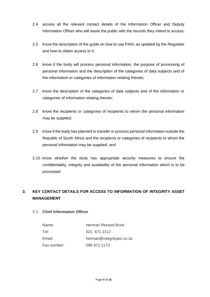- 2.4 access all the relevant contact details of the Information Officer and Deputy Information Officer who will assist the public with the records they intend to access;
- 2.5 know the description of the guide on how to use PAIA, as updated by the Regulator and how to obtain access to it;
- 2.6 know if the body will process personal information, the purpose of processing of personal information and the description of the categories of data subjects and of the information or categories of information relating thereto;
- 2.7 know the description of the categories of data subjects and of the information or categories of information relating thereto;
- 2.8 know the recipients or categories of recipients to whom the personal information may be supplied;
- 2.9 know if the body has planned to transfer or process personal information outside the Republic of South Africa and the recipients or categories of recipients to whom the personal information may be supplied; and
- 2.10 know whether the body has appropriate security measures to ensure the confidentiality, integrity and availability of the personal information which is to be processed.

# <span id="page-3-0"></span>**3. KEY CONTACT DETAILS FOR ACCESS TO INFORMATION OF INTEGRITY ASSET MANAGEMENT**

### 3.1. **Chief Information Officer**

| Name:       | Herman Reinard Brink     |
|-------------|--------------------------|
| Tel:        | 021 671 2112             |
| Email:      | herman@integrityam.co.za |
| Fax number: | 086 671 1173             |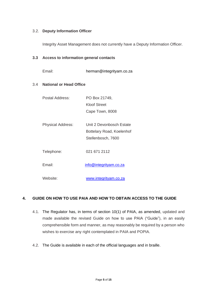#### 3.2. **Deputy Information Officer**

Integrity Asset Management does not currently have a Deputy Information Officer.

#### **3.3 Access to information general contacts**

Email: herman@integrityam.co.za

#### 3.4 **National or Head Office**

| Postal Address:          | PO Box 21749,             |
|--------------------------|---------------------------|
|                          | Kloof Street              |
|                          | Cape Town, 8008           |
|                          |                           |
| <b>Physical Address:</b> | Unit 2 Devonbosch Estate  |
|                          | Bottelary Road, Koelenhof |
|                          | Stellenbosch, 7600        |
|                          |                           |
| Telephone:               | 021 671 2112              |
|                          |                           |
| Fmail <sup>-</sup>       | info@integrityam.co.za    |
|                          |                           |
| Website:                 | www.integrityam.co.za     |

### <span id="page-4-0"></span>**4. GUIDE ON HOW TO USE PAIA AND HOW TO OBTAIN ACCESS TO THE GUIDE**

- 4.1. The Regulator has, in terms of section 10(1) of PAIA, as amended, updated and made available the revised Guide on how to use PAIA ("Guide"), in an easily comprehensible form and manner, as may reasonably be required by a person who wishes to exercise any right contemplated in PAIA and POPIA.
- 4.2. The Guide is available in each of the official languages and in braille.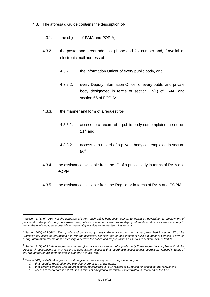- 4.3. The aforesaid Guide contains the description of-
	- 4.3.1. the objects of PAIA and POPIA;
	- 4.3.2. the postal and street address, phone and fax number and, if available, electronic mail address of-
		- 4.3.2.1. the Information Officer of every public body, and
		- 4.3.2.2. every Deputy Information Officer of every public and private body designated in terms of section  $17(1)$  of PAIA<sup>1</sup> and section 56 of POPIA<sup>2</sup>;
	- 4.3.3. the manner and form of a request for-
		- 4.3.3.1. access to a record of a public body contemplated in section 11 $3$ ; and
		- 4.3.3.2. access to a record of a private body contemplated in section  $50<sup>4</sup>$ ;
	- 4.3.4. the assistance available from the IO of a public body in terms of PAIA and POPIA;
	- 4.3.5. the assistance available from the Regulator in terms of PAIA and POPIA;

*a) that record is required for the exercise or protection of any rights;*

<sup>1</sup> Section 17(1) of PAIA- *For the purposes of PAIA, each public body must, subject to legislation governing the employment of personnel of the public body concerned, designate such number of persons as deputy information officers as are necessary to render the public body as accessible as reasonably possible for requesters of its records.*

*<sup>2</sup> Section 56(a) of POPIA- Each public and private body must make provision, in the manner prescribed in section 17 of the Promotion of Access to Information Act, with the necessary changes, for the designation of such a number of persons, if any, as deputy information officers as is necessary to perform the duties and responsibilities as set out in section 55(1) of POPIA.*

*<sup>3</sup> Section 11(1) of PAIA- A requester must be given access to a record of a public body if that requester complies with all the*  procedural requirements in PAIA relating to a request for access to that record; and access to that record is not refused in terms of *any ground for refusal contemplated in Chapter 4 of this Part.*

<sup>4</sup> *Section 50(1) of PAIA- A requester must be given access to any record of a private body if-*

*b) that person complies with the procedural requirements in PAIA relating to a request for access to that record; and*

*c) access to that record is not refused in terms of any ground for refusal contemplated in Chapter 4 of this Part.*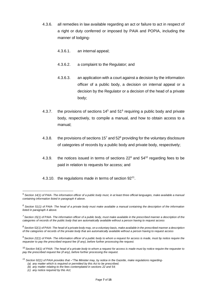- 4.3.6. all remedies in law available regarding an act or failure to act in respect of a right or duty conferred or imposed by PAIA and POPIA, including the manner of lodging-
	- 4.3.6.1. an internal appeal;
	- 4.3.6.2. a complaint to the Regulator; and
	- 4.3.6.3. an application with a court against a decision by the information officer of a public body, a decision on internal appeal or a decision by the Regulator or a decision of the head of a private body;
- 4.3.7. the provisions of sections  $14<sup>5</sup>$  and  $51<sup>6</sup>$  requiring a public body and private body, respectively, to compile a manual, and how to obtain access to a manual;
- 4.3.8. the provisions of sections  $15<sup>7</sup>$  and  $52<sup>8</sup>$  providing for the voluntary disclosure of categories of records by a public body and private body, respectively;
- 4.3.9. the notices issued in terms of sections  $22^9$  and  $54^{10}$  regarding fees to be paid in relation to requests for access; and
- 4.3.10. the regulations made in terms of section 92<sup>11</sup>.

*<sup>5</sup> Section 14(1) of PAIA- The information officer of a public body must, in at least three official languages, make available a manual containing information listed in paragraph 4 above.*

*<sup>6</sup> Section 51(1) of PAIA- The head of a private body must make available a manual containing the description of the information listed in paragraph 4 above.*

*<sup>7</sup> Section 15(1) of PAIA- The information officer of a public body, must make available in the prescribed manner a description of the categories of records of the public body that are automatically available without a person having to request access*

*<sup>8</sup> Section 52(1) of PAIA- The head of a private body may, on a voluntary basis, make available in the prescribed manner a description of the categories of records of the private body that are automatically available without a person having to request access*

*<sup>9</sup> Section 22(1) of PAIA- The information officer of a public body to whom a request for access is made, must by notice require the requester to pay the prescribed request fee (if any), before further processing the request.*

<sup>10</sup> *Section 54(1) of PAIA- The head of a private body to whom a request for access is made must by notice require the requester to pay the prescribed request fee (if any), before further processing the request.*

*<sup>11</sup> Section 92(1) of PAIA provides that –"The Minister may, by notice in the Gazette, make regulations regarding- (a) any matter which is required or permitted by this Act to be prescribed;*

*<sup>(</sup>b) any matter relating to the fees contemplated in sections 22 and 54;*

*<sup>(</sup>c) any notice required by this Act;*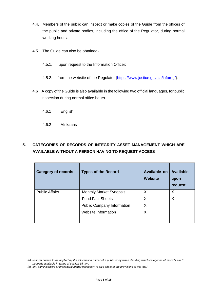- 4.4. Members of the public can inspect or make copies of the Guide from the offices of the public and private bodies, including the office of the Regulator, during normal working hours.
- 4.5. The Guide can also be obtained-
	- 4.5.1. upon request to the Information Officer;
	- 4.5.2. from the website of the Regulator [\(https://www.justice.gov.za/inforeg/\)](https://www.justice.gov.za/inforeg/).
- 4.6 A copy of the Guide is also available in the following two official languages, for public inspection during normal office hours-
	- 4.6.1 English
	- 4.6.2 Afrikaans

# **5. CATEGORIES OF RECORDS OF INTEGRITY ASSET MANAGEMENT WHICH ARE AVAILABLE WITHOUT A PERSON HAVING TO REQUEST ACCESS**

| <b>Category of records</b> | <b>Types of the Record</b>        | Available on<br><b>Website</b> | <b>Available</b><br>upon<br>request |
|----------------------------|-----------------------------------|--------------------------------|-------------------------------------|
| <b>Public Affairs</b>      | <b>Monthly Market Synopsis</b>    | X                              | X                                   |
|                            | <b>Fund Fact Sheets</b>           | X                              | X                                   |
|                            | <b>Public Company Information</b> | X                              |                                     |
|                            | Website Information               | X                              |                                     |

*<sup>(</sup>d) uniform criteria to be applied by the information officer of a public body when deciding which categories of records are to be made available in terms of section 15; and*

*<sup>(</sup>e) any administrative or procedural matter necessary to give effect to the provisions of this Act."*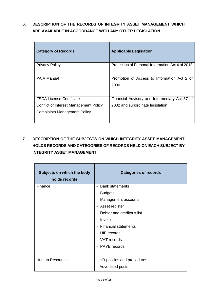# <span id="page-8-0"></span>**6. DESCRIPTION OF THE RECORDS OF INTEGRITY ASSET MANAGEMENT WHICH ARE AVAILABLE IN ACCORDANCE WITH ANY OTHER LEGISLATION**

| <b>Category of Records</b>             | <b>Applicable Legislation</b>                       |
|----------------------------------------|-----------------------------------------------------|
| <b>Privacy Policy</b>                  | Protection of Personal Information Act 4 of 2013    |
| <b>PAIA Manual</b>                     | Promotion of Access to Information Act 2 of<br>2000 |
| <b>FSCA License Certificate</b>        | Financial Advisory and Intermediary Act 37 of       |
| Conflict of Interest Management Policy | 2002 and subordinate legislation                    |
| <b>Complaints Management Policy</b>    |                                                     |

# <span id="page-8-1"></span>**7. DESCRIPTION OF THE SUBJECTS ON WHICH INTEGRITY ASSET MANAGEMENT HOLDS RECORDS AND CATEGORIES OF RECORDS HELD ON EACH SUBJECT BY INTEGRITY ASSET MANAGEMENT**

| Subjects on which the body<br>holds records | <b>Categories of records</b>         |
|---------------------------------------------|--------------------------------------|
| Finance                                     | - Bank statements                    |
|                                             | <b>Budgets</b>                       |
|                                             | Management accounts                  |
|                                             | - Asset register                     |
|                                             | - Debtor and creditor's list         |
|                                             | Invoices<br>$\overline{\phantom{a}}$ |
|                                             | - Financial statements               |
|                                             | - UIF records                        |
|                                             | - VAT records                        |
|                                             | - PAYE records                       |
|                                             |                                      |
| <b>Human Resources</b>                      | - HR policies and procedures         |
|                                             | - Advertised posts                   |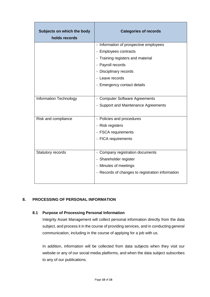| Subjects on which the body<br>holds records | <b>Categories of records</b>                     |
|---------------------------------------------|--------------------------------------------------|
|                                             | - Information of prospective employees           |
|                                             | - Employees contracts                            |
|                                             | - Training registers and material                |
|                                             | - Payroll records                                |
|                                             | - Disciplinary records                           |
|                                             | - Leave records                                  |
|                                             | - Emergency contact details                      |
|                                             |                                                  |
| Information Technology                      | - Computer Software Agreements                   |
|                                             | - Support and Maintenance Agreements             |
|                                             |                                                  |
| Risk and compliance                         | - Policies and procedures                        |
|                                             | - Risk registers                                 |
|                                             | - FSCA requirements                              |
|                                             | - FICA requirements                              |
|                                             |                                                  |
| Statutory records                           | - Company registration documents                 |
|                                             | - Shareholder register                           |
|                                             | - Minutes of meetings                            |
|                                             | - Records of changes to registration information |
|                                             |                                                  |

## <span id="page-9-0"></span>**8. PROCESSING OF PERSONAL INFORMATION**

#### **8.1 Purpose of Processing Personal Information**

Integrity Asset Management will collect personal information directly from the data subject, and process it in the course of providing services, and in conducting general communication, including in the course of applying for a job with us.

In addition, information will be collected from data subjects when they visit our website or any of our social media platforms, and when the data subject subscribes to any of our publications.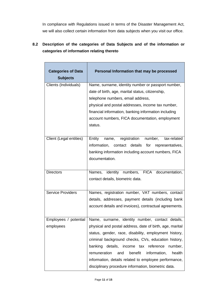In compliance with Regulations issued in terms of the Disaster Management Act, we will also collect certain information from data subjects when you visit our office.

# **8.2 Description of the categories of Data Subjects and of the information or categories of information relating thereto**

| <b>Categories of Data</b><br><b>Subjects</b> | Personal Information that may be processed                                                                                                                                                                                                                                                                                                                                                                                                                         |
|----------------------------------------------|--------------------------------------------------------------------------------------------------------------------------------------------------------------------------------------------------------------------------------------------------------------------------------------------------------------------------------------------------------------------------------------------------------------------------------------------------------------------|
| Clients (Individuals)                        | Name, surname, identity number or passport number,<br>date of birth, age, marital status, citizenship,<br>telephone numbers, email address,<br>physical and postal addresses, income tax number,<br>financial information, banking information including<br>account numbers, FICA documentation, employment<br>status.                                                                                                                                             |
| Client (Legal entities)                      | registration number,<br>Entity<br>tax-related<br>name,<br>information, contact details for<br>representatives,<br>banking information including account numbers, FICA<br>documentation.                                                                                                                                                                                                                                                                            |
| <b>Directors</b>                             | Names, identity numbers, FICA documentation,<br>contact details, biometric data.                                                                                                                                                                                                                                                                                                                                                                                   |
| <b>Service Providers</b>                     | Names, registration number, VAT numbers, contact<br>details, addresses, payment details (including bank<br>account details and invoices), contractual agreements.                                                                                                                                                                                                                                                                                                  |
| Employees / potential<br>employees           | identity number, contact details,<br>Name,<br>surname,<br>physical and postal address, date of birth, age, marital<br>status, gender, race, disability, employment history,<br>criminal background checks, CVs, education history,<br>banking details, income tax reference<br>number,<br>and<br>benefit<br>information,<br>remuneration<br>health<br>information, details related to employee performance,<br>disciplinary procedure information, biometric data. |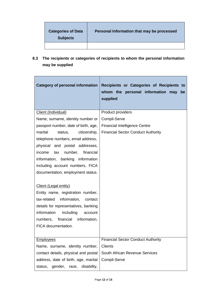| <b>Categories of Data</b><br><b>Subjects</b> | Personal Information that may be processed |
|----------------------------------------------|--------------------------------------------|
|                                              |                                            |

**8.3 The recipients or categories of recipients to whom the personal information may be supplied**

| <b>Category of personal information</b> | Recipients or Categories of Recipients to<br>whom the personal information may<br>be<br>supplied |
|-----------------------------------------|--------------------------------------------------------------------------------------------------|
| Client (Individual)                     | Product providers                                                                                |
| Name, surname, identity number or       | Compli-Serve                                                                                     |
| passport number, date of birth, age,    | <b>Financial Intelligence Centre</b>                                                             |
| marital<br>citizenship,<br>status,      | <b>Financial Sector Conduct Authority</b>                                                        |
| telephone numbers, email address,       |                                                                                                  |
| physical and postal addresses,          |                                                                                                  |
| number,<br>financial<br>income<br>tax   |                                                                                                  |
| information, banking information        |                                                                                                  |
| including account numbers, FICA         |                                                                                                  |
| documentation, employment status.       |                                                                                                  |
|                                         |                                                                                                  |
| Client (Legal entity)                   |                                                                                                  |
| Entity name, registration number,       |                                                                                                  |
| information,<br>tax-related<br>contact  |                                                                                                  |
| details for representatives, banking    |                                                                                                  |
| information<br>including<br>account     |                                                                                                  |
| numbers, financial<br>information,      |                                                                                                  |
| FICA documentation.                     |                                                                                                  |
|                                         |                                                                                                  |
| <b>Employees</b>                        | <b>Financial Sector Conduct Authority</b>                                                        |
| Name, surname, identity number,         | <b>Clients</b>                                                                                   |
| contact details, physical and postal    | South African Revenue Services                                                                   |
| address, date of birth, age, marital    | Compli-Serve                                                                                     |
| gender, race,<br>disability,<br>status, |                                                                                                  |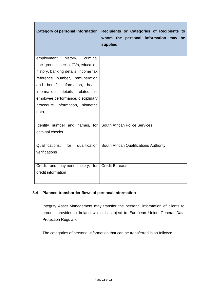| Category of personal information                                       | Recipients or Categories of Recipients to<br>whom the personal information may<br>be<br>supplied |
|------------------------------------------------------------------------|--------------------------------------------------------------------------------------------------|
| employment<br>history,<br>criminal                                     |                                                                                                  |
| background checks, CVs, education                                      |                                                                                                  |
| history, banking details, income tax                                   |                                                                                                  |
| reference number, remuneration<br>and benefit information, health      |                                                                                                  |
| information, details<br>related<br>to                                  |                                                                                                  |
| employee performance, disciplinary                                     |                                                                                                  |
| procedure information, biometric                                       |                                                                                                  |
| data.                                                                  |                                                                                                  |
|                                                                        |                                                                                                  |
| Identity number and names, for South African Police Services           |                                                                                                  |
| criminal checks                                                        |                                                                                                  |
|                                                                        |                                                                                                  |
| Qualifications,                                                        | for qualification   South African Qualifications Authority                                       |
| verifications                                                          |                                                                                                  |
|                                                                        |                                                                                                  |
| Credit and payment history, for   Credit Bureaus<br>credit information |                                                                                                  |
|                                                                        |                                                                                                  |
|                                                                        |                                                                                                  |

# **8.4 Planned transborder flows of personal information**

Integrity Asset Management may transfer the personal information of clients to product provider in Ireland which is subject to European Union General Data Protection Regulation.

The categories of personal information that can be transferred is as follows: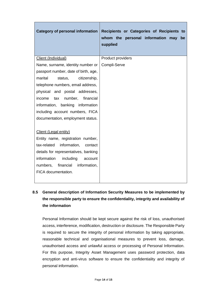| <b>Category of personal information</b> | Recipients or Categories of Recipients to<br>whom the personal information may<br>be<br>supplied |
|-----------------------------------------|--------------------------------------------------------------------------------------------------|
| Client (Individual)                     | Product providers                                                                                |
| Name, surname, identity number or       | Compli-Serve                                                                                     |
| passport number, date of birth, age,    |                                                                                                  |
| citizenship,<br>marital<br>status,      |                                                                                                  |
| telephone numbers, email address,       |                                                                                                  |
| physical and postal addresses,          |                                                                                                  |
| number,<br>financial<br>income tax      |                                                                                                  |
| information, banking information        |                                                                                                  |
| including account numbers, FICA         |                                                                                                  |
| documentation, employment status.       |                                                                                                  |
| Client (Legal entity)                   |                                                                                                  |
| Entity name, registration number,       |                                                                                                  |
| tax-related information,<br>contact     |                                                                                                  |
| details for representatives, banking    |                                                                                                  |
| information<br>including<br>account     |                                                                                                  |
| information,<br>financial<br>numbers,   |                                                                                                  |
| FICA documentation.                     |                                                                                                  |

# **8.5 General description of Information Security Measures to be implemented by the responsible party to ensure the confidentiality, integrity and availability of the information**

Personal Information should be kept secure against the risk of loss, unauthorised access, interference, modification, destruction or disclosure. The Responsible Party is required to secure the integrity of personal information by taking appropriate, reasonable technical and organisational measures to prevent loss, damage, unauthorised access and unlawful access or processing of Personal Information. For this purpose, Integrity Asset Management uses password protection, data encryption and anti-virus software to ensure the confidentiality and integrity of personal information.